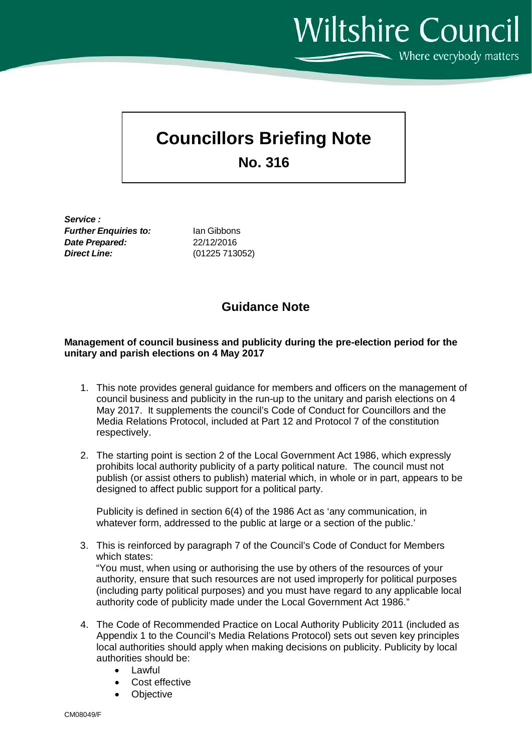**Wiltshire Council**  $\sum$  Where everybody matters

# **Councillors Briefing Note**

**No. 316**

*Service : Further Enquiries to:* Ian Gibbons *Date Prepared:* 22/12/2016 *Direct Line:* (01225 713052)

## **Guidance Note**

#### **Management of council business and publicity during the pre-election period for the unitary and parish elections on 4 May 2017**

- 1. This note provides general guidance for members and officers on the management of council business and publicity in the run-up to the unitary and parish elections on 4 May 2017. It supplements the council's Code of Conduct for Councillors and the Media Relations Protocol, included at Part 12 and Protocol 7 of the constitution respectively.
- 2. The starting point is section 2 of the Local Government Act 1986, which expressly prohibits local authority publicity of a party political nature. The council must not publish (or assist others to publish) material which, in whole or in part, appears to be designed to affect public support for a political party.

Publicity is defined in section 6(4) of the 1986 Act as 'any communication, in whatever form, addressed to the public at large or a section of the public.'

3. This is reinforced by paragraph 7 of the Council's Code of Conduct for Members which states: "You must, when using or authorising the use by others of the resources of your

authority, ensure that such resources are not used improperly for political purposes (including party political purposes) and you must have regard to any applicable local authority code of publicity made under the Local Government Act 1986."

- 4. The Code of Recommended Practice on Local Authority Publicity 2011 (included as Appendix 1 to the Council's Media Relations Protocol) sets out seven key principles local authorities should apply when making decisions on publicity. Publicity by local authorities should be:
	- Lawful
	- Cost effective
	- **Objective**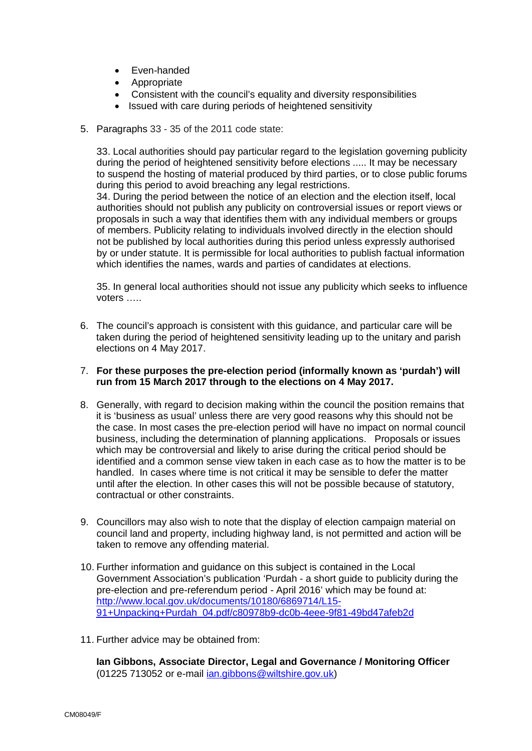- Even-handed
- Appropriate
- Consistent with the council's equality and diversity responsibilities
- Issued with care during periods of heightened sensitivity
- 5. Paragraphs 33 35 of the 2011 code state:

33. Local authorities should pay particular regard to the legislation governing publicity during the period of heightened sensitivity before elections ..... It may be necessary to suspend the hosting of material produced by third parties, or to close public forums during this period to avoid breaching any legal restrictions.

34. During the period between the notice of an election and the election itself, local authorities should not publish any publicity on controversial issues or report views or proposals in such a way that identifies them with any individual members or groups of members. Publicity relating to individuals involved directly in the election should not be published by local authorities during this period unless expressly authorised by or under statute. It is permissible for local authorities to publish factual information which identifies the names, wards and parties of candidates at elections.

35. In general local authorities should not issue any publicity which seeks to influence voters …..

6. The council's approach is consistent with this guidance, and particular care will be taken during the period of heightened sensitivity leading up to the unitary and parish elections on 4 May 2017.

#### 7. **For these purposes the pre-election period (informally known as 'purdah') will run from 15 March 2017 through to the elections on 4 May 2017.**

- 8. Generally, with regard to decision making within the council the position remains that it is 'business as usual' unless there are very good reasons why this should not be the case. In most cases the pre-election period will have no impact on normal council business, including the determination of planning applications. Proposals or issues which may be controversial and likely to arise during the critical period should be identified and a common sense view taken in each case as to how the matter is to be handled. In cases where time is not critical it may be sensible to defer the matter until after the election. In other cases this will not be possible because of statutory, contractual or other constraints.
- 9. Councillors may also wish to note that the display of election campaign material on council land and property, including highway land, is not permitted and action will be taken to remove any offending material.
- 10. Further information and guidance on this subject is contained in the Local Government Association's publication 'Purdah - a short guide to publicity during the pre-election and pre-referendum period - April 2016' which may be found at: [http://www.local.gov.uk/documents/10180/6869714/L15-](http://www.local.gov.uk/documents/10180/6869714/L15-91+Unpacking+Purdah_04.pdf/c80978b9-dc0b-4eee-9f81-49bd47afeb2d) [91+Unpacking+Purdah\\_04.pdf/c80978b9-dc0b-4eee-9f81-49bd47afeb2d](http://www.local.gov.uk/documents/10180/6869714/L15-91+Unpacking+Purdah_04.pdf/c80978b9-dc0b-4eee-9f81-49bd47afeb2d)
- 11. Further advice may be obtained from:

**Ian Gibbons, Associate Director, Legal and Governance / Monitoring Officer**  (01225 713052 or e-mail [ian.gibbons@wiltshire.gov.uk\)](mailto:ian.gibbons@wiltshire.gov.uk)